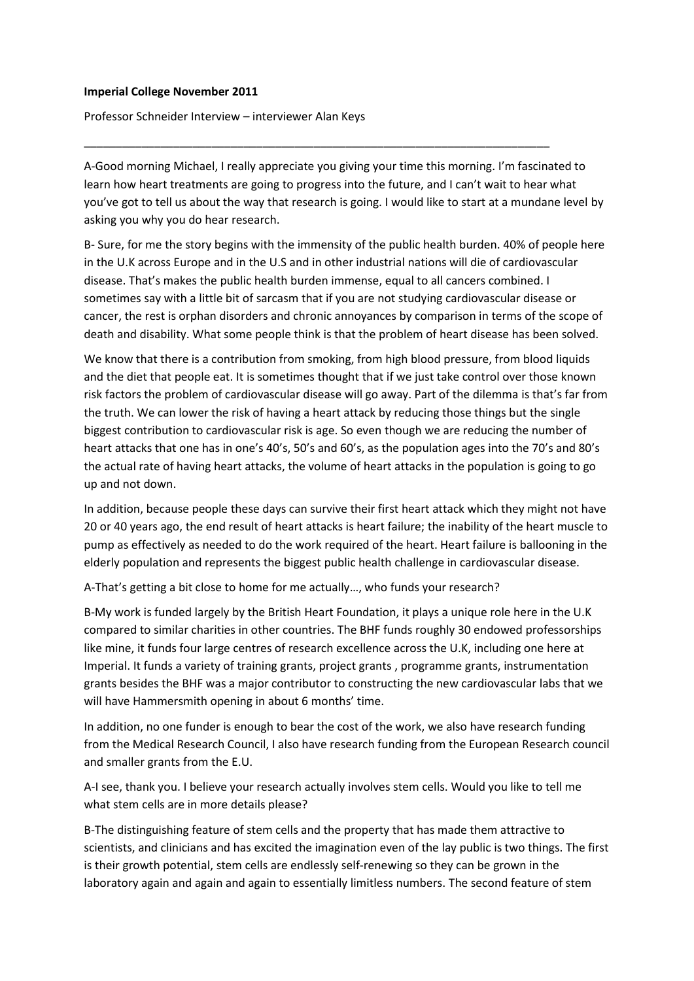## **Imperial College November 2011**

Professor Schneider Interview – interviewer Alan Keys

A-Good morning Michael, I really appreciate you giving your time this morning. I'm fascinated to learn how heart treatments are going to progress into the future, and I can't wait to hear what you've got to tell us about the way that research is going. I would like to start at a mundane level by asking you why you do hear research.

\_\_\_\_\_\_\_\_\_\_\_\_\_\_\_\_\_\_\_\_\_\_\_\_\_\_\_\_\_\_\_\_\_\_\_\_\_\_\_\_\_\_\_\_\_\_\_\_\_\_\_\_\_\_\_\_\_\_\_\_\_\_\_\_\_\_\_\_\_\_\_\_\_

B- Sure, for me the story begins with the immensity of the public health burden. 40% of people here in the U.K across Europe and in the U.S and in other industrial nations will die of cardiovascular disease. That's makes the public health burden immense, equal to all cancers combined. I sometimes say with a little bit of sarcasm that if you are not studying cardiovascular disease or cancer, the rest is orphan disorders and chronic annoyances by comparison in terms of the scope of death and disability. What some people think is that the problem of heart disease has been solved.

We know that there is a contribution from smoking, from high blood pressure, from blood liquids and the diet that people eat. It is sometimes thought that if we just take control over those known risk factors the problem of cardiovascular disease will go away. Part of the dilemma is that's far from the truth. We can lower the risk of having a heart attack by reducing those things but the single biggest contribution to cardiovascular risk is age. So even though we are reducing the number of heart attacks that one has in one's 40's, 50's and 60's, as the population ages into the 70's and 80's the actual rate of having heart attacks, the volume of heart attacks in the population is going to go up and not down.

In addition, because people these days can survive their first heart attack which they might not have 20 or 40 years ago, the end result of heart attacks is heart failure; the inability of the heart muscle to pump as effectively as needed to do the work required of the heart. Heart failure is ballooning in the elderly population and represents the biggest public health challenge in cardiovascular disease.

A-That's getting a bit close to home for me actually…, who funds your research?

B-My work is funded largely by the British Heart Foundation, it plays a unique role here in the U.K compared to similar charities in other countries. The BHF funds roughly 30 endowed professorships like mine, it funds four large centres of research excellence across the U.K, including one here at Imperial. It funds a variety of training grants, project grants , programme grants, instrumentation grants besides the BHF was a major contributor to constructing the new cardiovascular labs that we will have Hammersmith opening in about 6 months' time.

In addition, no one funder is enough to bear the cost of the work, we also have research funding from the Medical Research Council, I also have research funding from the European Research council and smaller grants from the E.U.

A-I see, thank you. I believe your research actually involves stem cells. Would you like to tell me what stem cells are in more details please?

B-The distinguishing feature of stem cells and the property that has made them attractive to scientists, and clinicians and has excited the imagination even of the lay public is two things. The first is their growth potential, stem cells are endlessly self-renewing so they can be grown in the laboratory again and again and again to essentially limitless numbers. The second feature of stem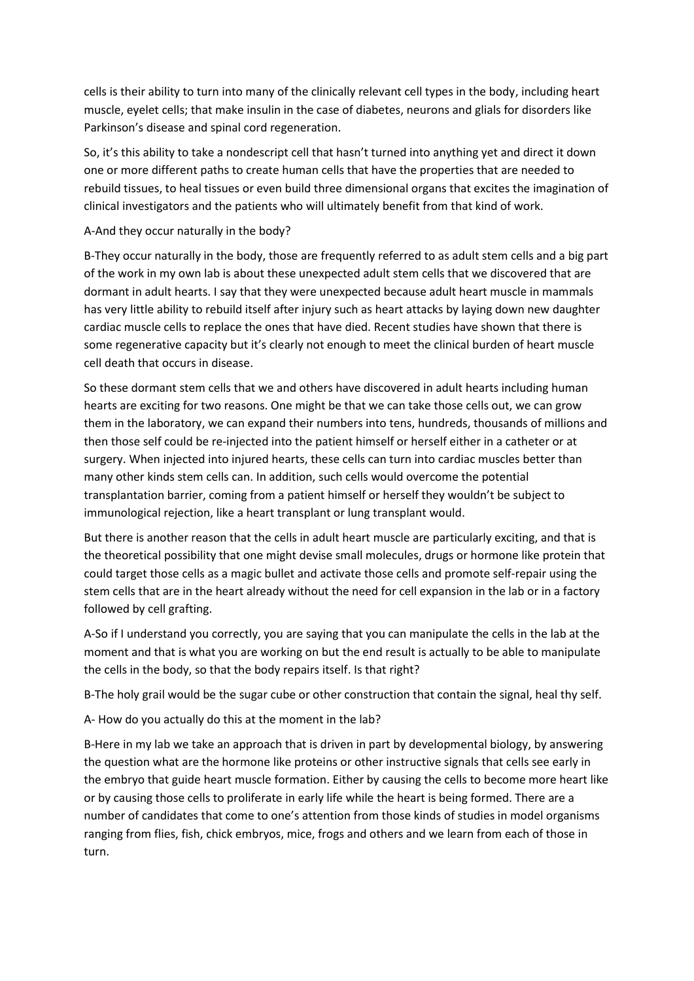cells is their ability to turn into many of the clinically relevant cell types in the body, including heart muscle, eyelet cells; that make insulin in the case of diabetes, neurons and glials for disorders like Parkinson's disease and spinal cord regeneration.

So, it's this ability to take a nondescript cell that hasn't turned into anything yet and direct it down one or more different paths to create human cells that have the properties that are needed to rebuild tissues, to heal tissues or even build three dimensional organs that excites the imagination of clinical investigators and the patients who will ultimately benefit from that kind of work.

## A-And they occur naturally in the body?

B-They occur naturally in the body, those are frequently referred to as adult stem cells and a big part of the work in my own lab is about these unexpected adult stem cells that we discovered that are dormant in adult hearts. I say that they were unexpected because adult heart muscle in mammals has very little ability to rebuild itself after injury such as heart attacks by laying down new daughter cardiac muscle cells to replace the ones that have died. Recent studies have shown that there is some regenerative capacity but it's clearly not enough to meet the clinical burden of heart muscle cell death that occurs in disease.

So these dormant stem cells that we and others have discovered in adult hearts including human hearts are exciting for two reasons. One might be that we can take those cells out, we can grow them in the laboratory, we can expand their numbers into tens, hundreds, thousands of millions and then those self could be re-injected into the patient himself or herself either in a catheter or at surgery. When injected into injured hearts, these cells can turn into cardiac muscles better than many other kinds stem cells can. In addition, such cells would overcome the potential transplantation barrier, coming from a patient himself or herself they wouldn't be subject to immunological rejection, like a heart transplant or lung transplant would.

But there is another reason that the cells in adult heart muscle are particularly exciting, and that is the theoretical possibility that one might devise small molecules, drugs or hormone like protein that could target those cells as a magic bullet and activate those cells and promote self-repair using the stem cells that are in the heart already without the need for cell expansion in the lab or in a factory followed by cell grafting.

A-So if I understand you correctly, you are saying that you can manipulate the cells in the lab at the moment and that is what you are working on but the end result is actually to be able to manipulate the cells in the body, so that the body repairs itself. Is that right?

B-The holy grail would be the sugar cube or other construction that contain the signal, heal thy self.

A- How do you actually do this at the moment in the lab?

B-Here in my lab we take an approach that is driven in part by developmental biology, by answering the question what are the hormone like proteins or other instructive signals that cells see early in the embryo that guide heart muscle formation. Either by causing the cells to become more heart like or by causing those cells to proliferate in early life while the heart is being formed. There are a number of candidates that come to one's attention from those kinds of studies in model organisms ranging from flies, fish, chick embryos, mice, frogs and others and we learn from each of those in turn.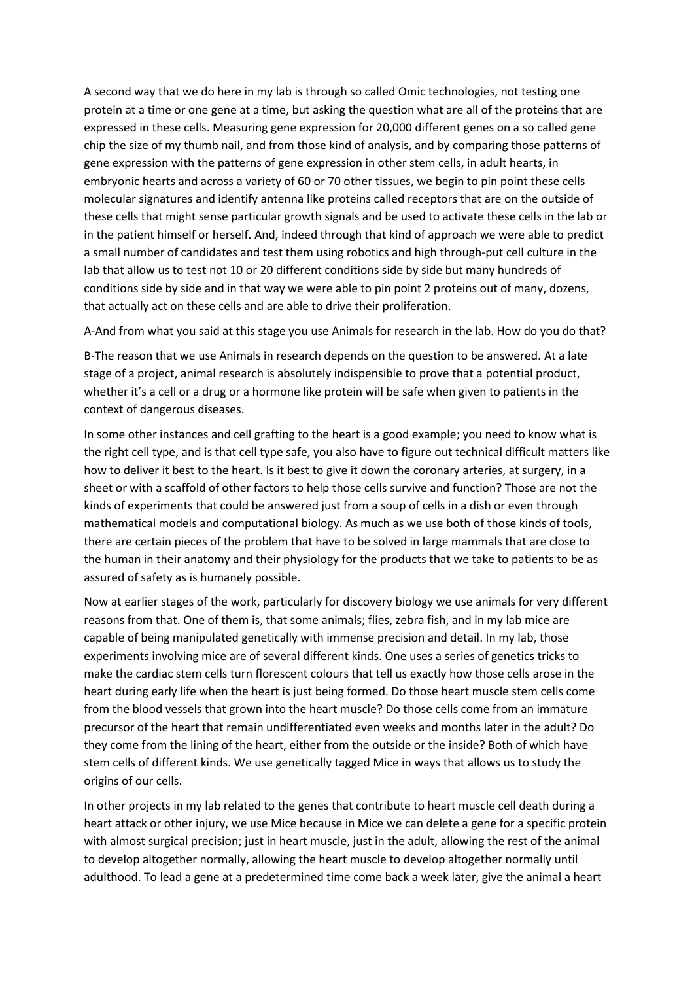A second way that we do here in my lab is through so called Omic technologies, not testing one protein at a time or one gene at a time, but asking the question what are all of the proteins that are expressed in these cells. Measuring gene expression for 20,000 different genes on a so called gene chip the size of my thumb nail, and from those kind of analysis, and by comparing those patterns of gene expression with the patterns of gene expression in other stem cells, in adult hearts, in embryonic hearts and across a variety of 60 or 70 other tissues, we begin to pin point these cells molecular signatures and identify antenna like proteins called receptors that are on the outside of these cells that might sense particular growth signals and be used to activate these cells in the lab or in the patient himself or herself. And, indeed through that kind of approach we were able to predict a small number of candidates and test them using robotics and high through-put cell culture in the lab that allow us to test not 10 or 20 different conditions side by side but many hundreds of conditions side by side and in that way we were able to pin point 2 proteins out of many, dozens, that actually act on these cells and are able to drive their proliferation.

A-And from what you said at this stage you use Animals for research in the lab. How do you do that?

B-The reason that we use Animals in research depends on the question to be answered. At a late stage of a project, animal research is absolutely indispensible to prove that a potential product, whether it's a cell or a drug or a hormone like protein will be safe when given to patients in the context of dangerous diseases.

In some other instances and cell grafting to the heart is a good example; you need to know what is the right cell type, and is that cell type safe, you also have to figure out technical difficult matters like how to deliver it best to the heart. Is it best to give it down the coronary arteries, at surgery, in a sheet or with a scaffold of other factors to help those cells survive and function? Those are not the kinds of experiments that could be answered just from a soup of cells in a dish or even through mathematical models and computational biology. As much as we use both of those kinds of tools, there are certain pieces of the problem that have to be solved in large mammals that are close to the human in their anatomy and their physiology for the products that we take to patients to be as assured of safety as is humanely possible.

Now at earlier stages of the work, particularly for discovery biology we use animals for very different reasons from that. One of them is, that some animals; flies, zebra fish, and in my lab mice are capable of being manipulated genetically with immense precision and detail. In my lab, those experiments involving mice are of several different kinds. One uses a series of genetics tricks to make the cardiac stem cells turn florescent colours that tell us exactly how those cells arose in the heart during early life when the heart is just being formed. Do those heart muscle stem cells come from the blood vessels that grown into the heart muscle? Do those cells come from an immature precursor of the heart that remain undifferentiated even weeks and months later in the adult? Do they come from the lining of the heart, either from the outside or the inside? Both of which have stem cells of different kinds. We use genetically tagged Mice in ways that allows us to study the origins of our cells.

In other projects in my lab related to the genes that contribute to heart muscle cell death during a heart attack or other injury, we use Mice because in Mice we can delete a gene for a specific protein with almost surgical precision; just in heart muscle, just in the adult, allowing the rest of the animal to develop altogether normally, allowing the heart muscle to develop altogether normally until adulthood. To lead a gene at a predetermined time come back a week later, give the animal a heart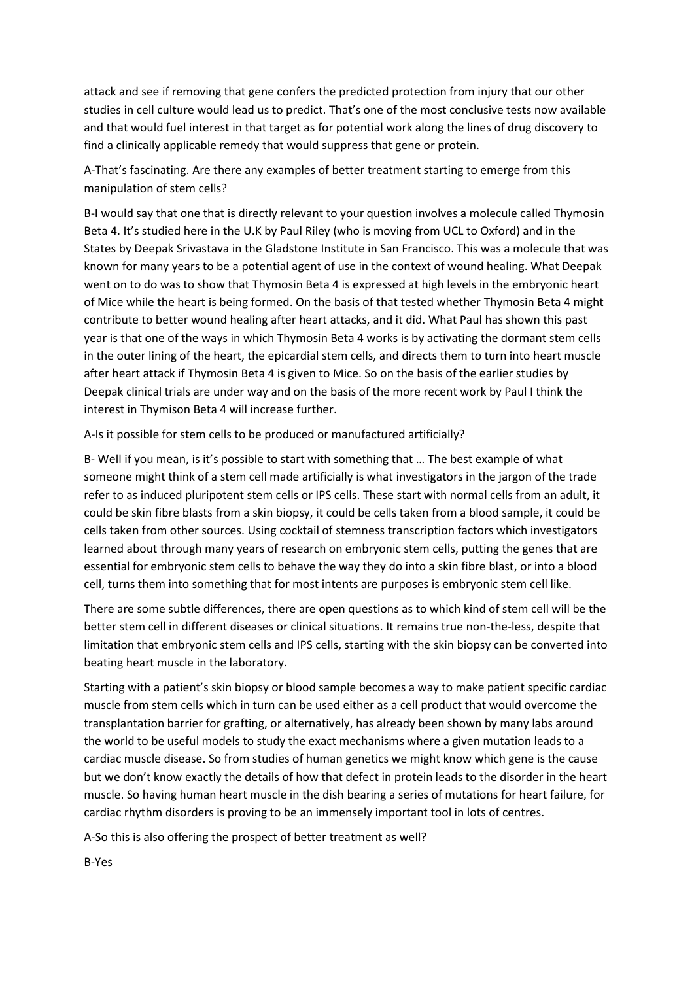attack and see if removing that gene confers the predicted protection from injury that our other studies in cell culture would lead us to predict. That's one of the most conclusive tests now available and that would fuel interest in that target as for potential work along the lines of drug discovery to find a clinically applicable remedy that would suppress that gene or protein.

A-That's fascinating. Are there any examples of better treatment starting to emerge from this manipulation of stem cells?

B-I would say that one that is directly relevant to your question involves a molecule called Thymosin Beta 4. It's studied here in the U.K by Paul Riley (who is moving from UCL to Oxford) and in the States by Deepak Srivastava in the Gladstone Institute in San Francisco. This was a molecule that was known for many years to be a potential agent of use in the context of wound healing. What Deepak went on to do was to show that Thymosin Beta 4 is expressed at high levels in the embryonic heart of Mice while the heart is being formed. On the basis of that tested whether Thymosin Beta 4 might contribute to better wound healing after heart attacks, and it did. What Paul has shown this past year is that one of the ways in which Thymosin Beta 4 works is by activating the dormant stem cells in the outer lining of the heart, the epicardial stem cells, and directs them to turn into heart muscle after heart attack if Thymosin Beta 4 is given to Mice. So on the basis of the earlier studies by Deepak clinical trials are under way and on the basis of the more recent work by Paul I think the interest in Thymison Beta 4 will increase further.

A-Is it possible for stem cells to be produced or manufactured artificially?

B- Well if you mean, is it's possible to start with something that … The best example of what someone might think of a stem cell made artificially is what investigators in the jargon of the trade refer to as induced pluripotent stem cells or IPS cells. These start with normal cells from an adult, it could be skin fibre blasts from a skin biopsy, it could be cells taken from a blood sample, it could be cells taken from other sources. Using cocktail of stemness transcription factors which investigators learned about through many years of research on embryonic stem cells, putting the genes that are essential for embryonic stem cells to behave the way they do into a skin fibre blast, or into a blood cell, turns them into something that for most intents are purposes is embryonic stem cell like.

There are some subtle differences, there are open questions as to which kind of stem cell will be the better stem cell in different diseases or clinical situations. It remains true non-the-less, despite that limitation that embryonic stem cells and IPS cells, starting with the skin biopsy can be converted into beating heart muscle in the laboratory.

Starting with a patient's skin biopsy or blood sample becomes a way to make patient specific cardiac muscle from stem cells which in turn can be used either as a cell product that would overcome the transplantation barrier for grafting, or alternatively, has already been shown by many labs around the world to be useful models to study the exact mechanisms where a given mutation leads to a cardiac muscle disease. So from studies of human genetics we might know which gene is the cause but we don't know exactly the details of how that defect in protein leads to the disorder in the heart muscle. So having human heart muscle in the dish bearing a series of mutations for heart failure, for cardiac rhythm disorders is proving to be an immensely important tool in lots of centres.

A-So this is also offering the prospect of better treatment as well?

B-Yes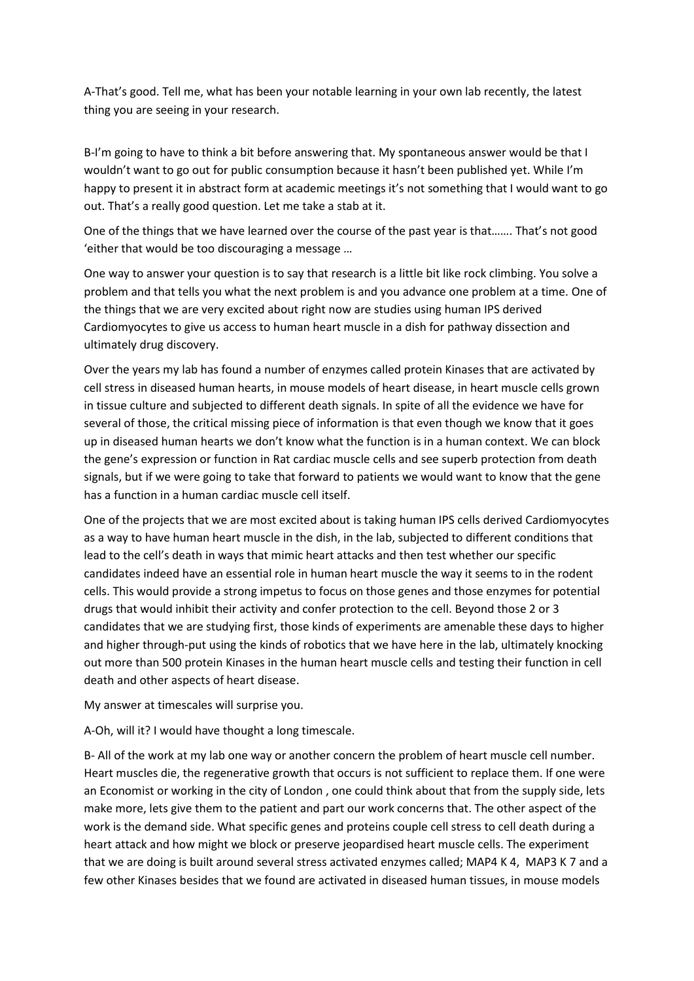A-That's good. Tell me, what has been your notable learning in your own lab recently, the latest thing you are seeing in your research.

B-I'm going to have to think a bit before answering that. My spontaneous answer would be that I wouldn't want to go out for public consumption because it hasn't been published yet. While I'm happy to present it in abstract form at academic meetings it's not something that I would want to go out. That's a really good question. Let me take a stab at it.

One of the things that we have learned over the course of the past year is that……. That's not good 'either that would be too discouraging a message …

One way to answer your question is to say that research is a little bit like rock climbing. You solve a problem and that tells you what the next problem is and you advance one problem at a time. One of the things that we are very excited about right now are studies using human IPS derived Cardiomyocytes to give us access to human heart muscle in a dish for pathway dissection and ultimately drug discovery.

Over the years my lab has found a number of enzymes called protein Kinases that are activated by cell stress in diseased human hearts, in mouse models of heart disease, in heart muscle cells grown in tissue culture and subjected to different death signals. In spite of all the evidence we have for several of those, the critical missing piece of information is that even though we know that it goes up in diseased human hearts we don't know what the function is in a human context. We can block the gene's expression or function in Rat cardiac muscle cells and see superb protection from death signals, but if we were going to take that forward to patients we would want to know that the gene has a function in a human cardiac muscle cell itself.

One of the projects that we are most excited about is taking human IPS cells derived Cardiomyocytes as a way to have human heart muscle in the dish, in the lab, subjected to different conditions that lead to the cell's death in ways that mimic heart attacks and then test whether our specific candidates indeed have an essential role in human heart muscle the way it seems to in the rodent cells. This would provide a strong impetus to focus on those genes and those enzymes for potential drugs that would inhibit their activity and confer protection to the cell. Beyond those 2 or 3 candidates that we are studying first, those kinds of experiments are amenable these days to higher and higher through-put using the kinds of robotics that we have here in the lab, ultimately knocking out more than 500 protein Kinases in the human heart muscle cells and testing their function in cell death and other aspects of heart disease.

My answer at timescales will surprise you.

A-Oh, will it? I would have thought a long timescale.

B- All of the work at my lab one way or another concern the problem of heart muscle cell number. Heart muscles die, the regenerative growth that occurs is not sufficient to replace them. If one were an Economist or working in the city of London , one could think about that from the supply side, lets make more, lets give them to the patient and part our work concerns that. The other aspect of the work is the demand side. What specific genes and proteins couple cell stress to cell death during a heart attack and how might we block or preserve jeopardised heart muscle cells. The experiment that we are doing is built around several stress activated enzymes called; MAP4 K 4, MAP3 K 7 and a few other Kinases besides that we found are activated in diseased human tissues, in mouse models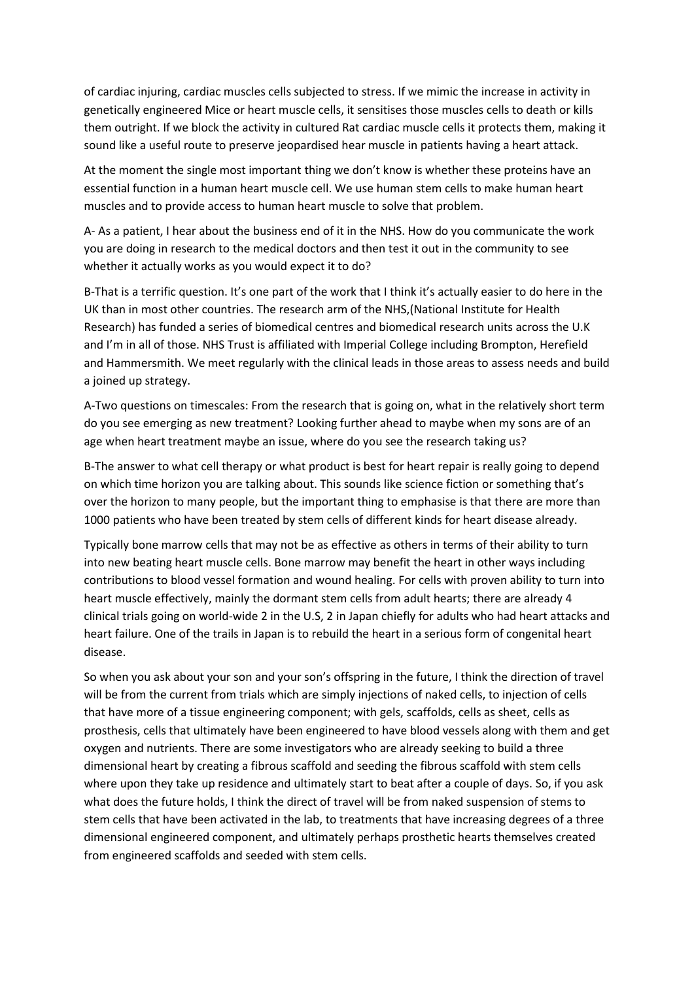of cardiac injuring, cardiac muscles cells subjected to stress. If we mimic the increase in activity in genetically engineered Mice or heart muscle cells, it sensitises those muscles cells to death or kills them outright. If we block the activity in cultured Rat cardiac muscle cells it protects them, making it sound like a useful route to preserve jeopardised hear muscle in patients having a heart attack.

At the moment the single most important thing we don't know is whether these proteins have an essential function in a human heart muscle cell. We use human stem cells to make human heart muscles and to provide access to human heart muscle to solve that problem.

A- As a patient, I hear about the business end of it in the NHS. How do you communicate the work you are doing in research to the medical doctors and then test it out in the community to see whether it actually works as you would expect it to do?

B-That is a terrific question. It's one part of the work that I think it's actually easier to do here in the UK than in most other countries. The research arm of the NHS,(National Institute for Health Research) has funded a series of biomedical centres and biomedical research units across the U.K and I'm in all of those. NHS Trust is affiliated with Imperial College including Brompton, Herefield and Hammersmith. We meet regularly with the clinical leads in those areas to assess needs and build a joined up strategy.

A-Two questions on timescales: From the research that is going on, what in the relatively short term do you see emerging as new treatment? Looking further ahead to maybe when my sons are of an age when heart treatment maybe an issue, where do you see the research taking us?

B-The answer to what cell therapy or what product is best for heart repair is really going to depend on which time horizon you are talking about. This sounds like science fiction or something that's over the horizon to many people, but the important thing to emphasise is that there are more than 1000 patients who have been treated by stem cells of different kinds for heart disease already.

Typically bone marrow cells that may not be as effective as others in terms of their ability to turn into new beating heart muscle cells. Bone marrow may benefit the heart in other ways including contributions to blood vessel formation and wound healing. For cells with proven ability to turn into heart muscle effectively, mainly the dormant stem cells from adult hearts; there are already 4 clinical trials going on world-wide 2 in the U.S, 2 in Japan chiefly for adults who had heart attacks and heart failure. One of the trails in Japan is to rebuild the heart in a serious form of congenital heart disease.

So when you ask about your son and your son's offspring in the future, I think the direction of travel will be from the current from trials which are simply injections of naked cells, to injection of cells that have more of a tissue engineering component; with gels, scaffolds, cells as sheet, cells as prosthesis, cells that ultimately have been engineered to have blood vessels along with them and get oxygen and nutrients. There are some investigators who are already seeking to build a three dimensional heart by creating a fibrous scaffold and seeding the fibrous scaffold with stem cells where upon they take up residence and ultimately start to beat after a couple of days. So, if you ask what does the future holds, I think the direct of travel will be from naked suspension of stems to stem cells that have been activated in the lab, to treatments that have increasing degrees of a three dimensional engineered component, and ultimately perhaps prosthetic hearts themselves created from engineered scaffolds and seeded with stem cells.